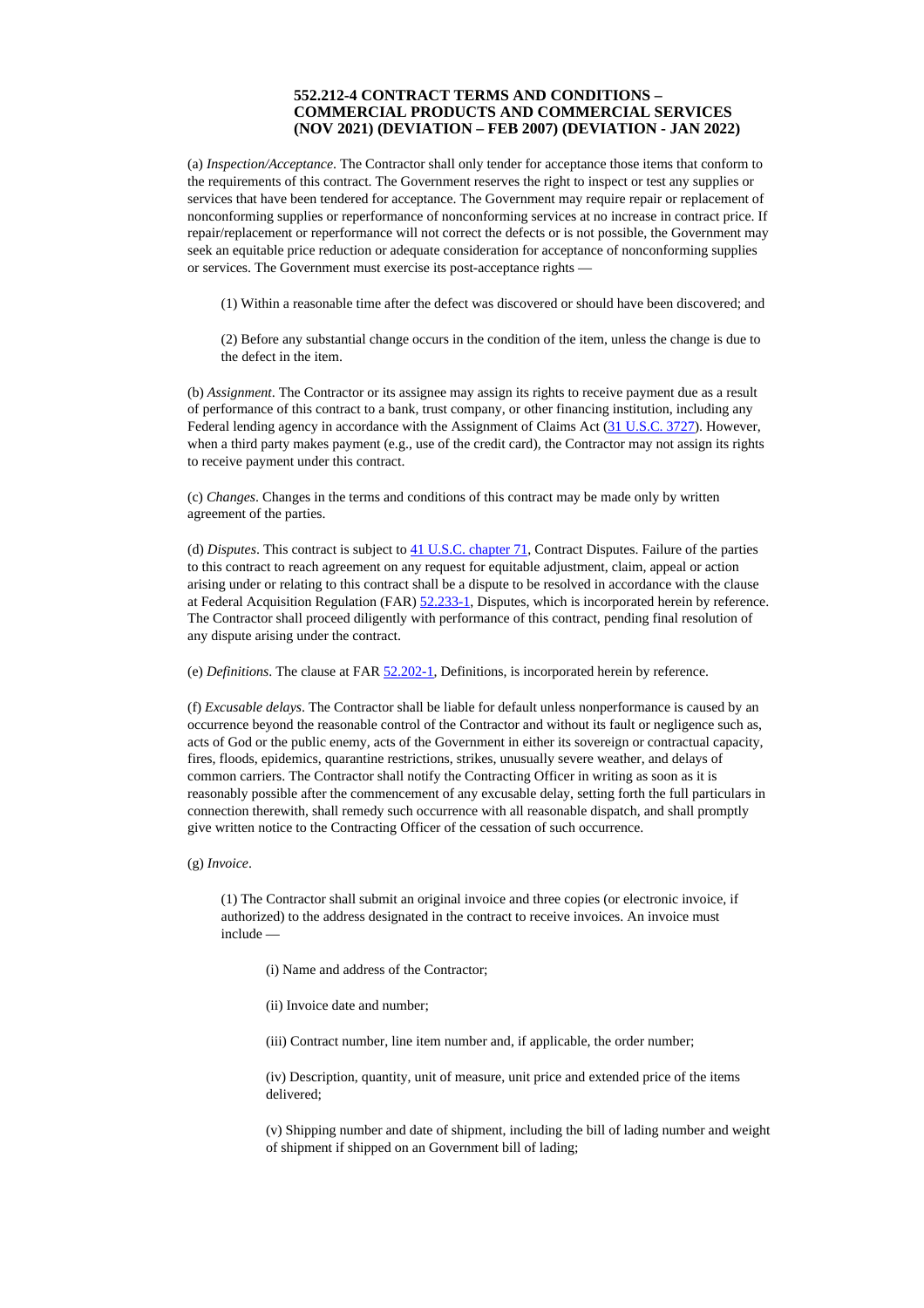## **552.212-4 CONTRACT TERMS AND CONDITIONS – COMMERCIAL PRODUCTS AND COMMERCIAL SERVICES (NOV 2021) (DEVIATION – FEB 2007) (DEVIATION - JAN 2022)**

(a) *Inspection/Acceptance*. The Contractor shall only tender for acceptance those items that conform to the requirements of this contract. The Government reserves the right to inspect or test any supplies or services that have been tendered for acceptance. The Government may require repair or replacement of nonconforming supplies or reperformance of nonconforming services at no increase in contract price. If repair/replacement or reperformance will not correct the defects or is not possible, the Government may seek an equitable price reduction or adequate consideration for acceptance of nonconforming supplies or services. The Government must exercise its post-acceptance rights —

(1) Within a reasonable time after the defect was discovered or should have been discovered; and

(2) Before any substantial change occurs in the condition of the item, unless the change is due to the defect in the item.

(b) *Assignment*. The Contractor or its assignee may assign its rights to receive payment due as a result of performance of this contract to a bank, trust company, or other financing institution, including any Federal lending agency in accordance with the Assignment of Claims Act (31 [U.S.C.](http://uscode.house.gov/uscode-cgi/fastweb.exe?getdoc+uscview+t29t32+1665+30++%2831%29%20%20AND%20%28%2831%29%20ADJ%20USC%29%3ACITE%20%20%20%20%20%20%20%20%20) 3727). However, when a third party makes payment (e.g., use of the credit card), the Contractor may not assign its rights to receive payment under this contract.

(c) *Changes*. Changes in the terms and conditions of this contract may be made only by written agreement of the parties.

(d) *Disputes*. This contract is subject to 41 U.S.C. [chapter](http://uscode.house.gov/) 71, Contract Disputes. Failure of the parties to this contract to reach agreement on any request for equitable adjustment, claim, appeal or action arising under or relating to this contract shall be a dispute to be resolved in accordance with the clause at Federal Acquisition Regulation (FAR) [52.233-1,](https://acquisition.gov/far/current/html/52_233_240.html#wp1113304) Disputes, which is incorporated herein by reference. The Contractor shall proceed diligently with performance of this contract, pending final resolution of any dispute arising under the contract.

(e) *Definitions*. The clause at FAR [52.202-1](https://acquisition.gov/far/current/html/52_200_206.html#wp1137572), Definitions, is incorporated herein by reference.

(f) *Excusable delays*. The Contractor shall be liable for default unless nonperformance is caused by an occurrence beyond the reasonable control of the Contractor and without its fault or negligence such as, acts of God or the public enemy, acts of the Government in either its sovereign or contractual capacity, fires, floods, epidemics, quarantine restrictions, strikes, unusually severe weather, and delays of common carriers. The Contractor shall notify the Contracting Officer in writing as soon as it is reasonably possible after the commencement of any excusable delay, setting forth the full particulars in connection therewith, shall remedy such occurrence with all reasonable dispatch, and shall promptly give written notice to the Contracting Officer of the cessation of such occurrence.

## (g) *Invoice*.

(1) The Contractor shall submit an original invoice and three copies (or electronic invoice, if authorized) to the address designated in the contract to receive invoices. An invoice must include —

- (i) Name and address of the Contractor;
- (ii) Invoice date and number;
- (iii) Contract number, line item number and, if applicable, the order number;

(iv) Description, quantity, unit of measure, unit price and extended price of the items delivered;

(v) Shipping number and date of shipment, including the bill of lading number and weight of shipment if shipped on an Government bill of lading;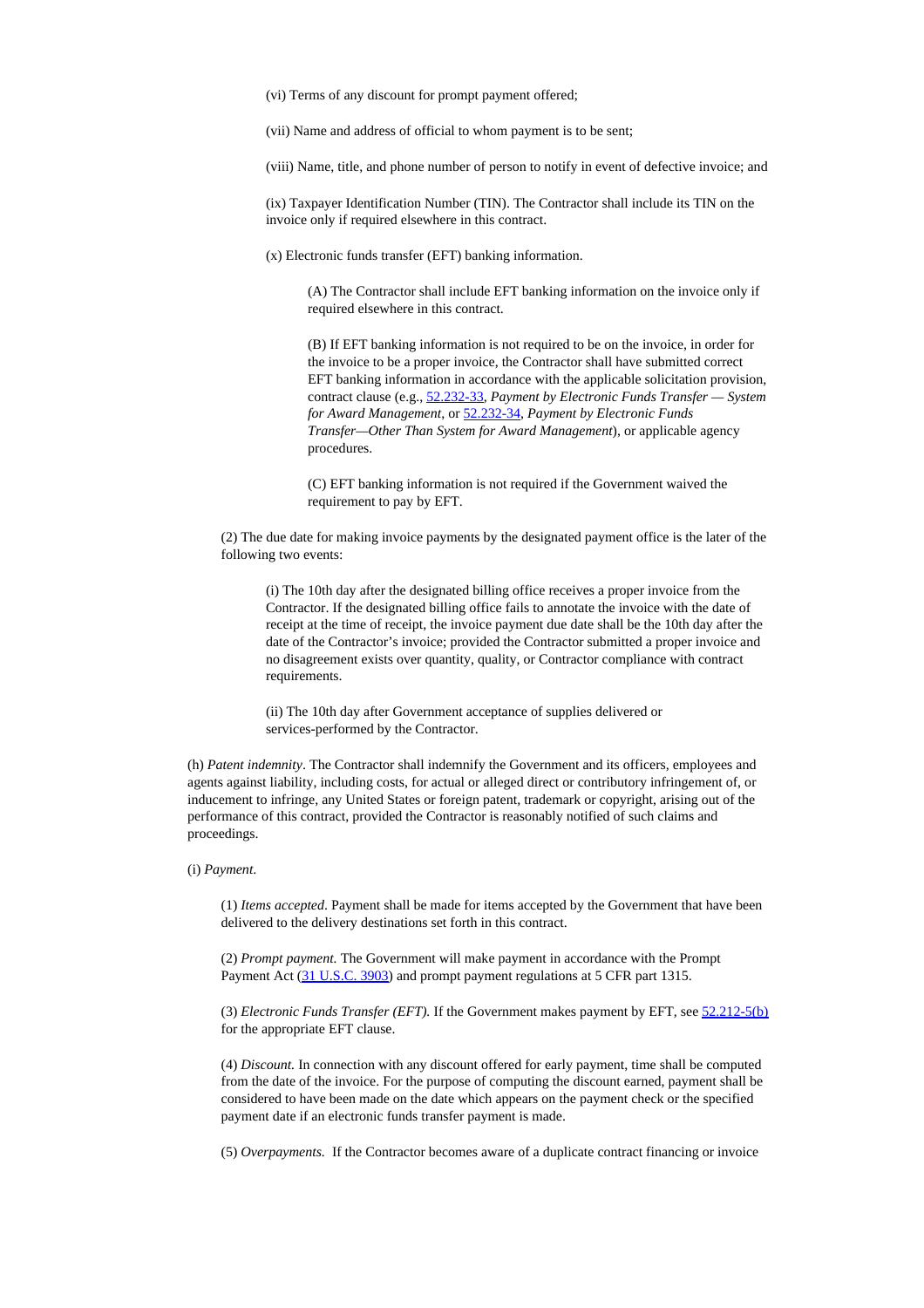(vi) Terms of any discount for prompt payment offered;

(vii) Name and address of official to whom payment is to be sent;

(viii) Name, title, and phone number of person to notify in event of defective invoice; and

(ix) Taxpayer Identification Number (TIN). The Contractor shall include its TIN on the invoice only if required elsewhere in this contract.

(x) Electronic funds transfer (EFT) banking information.

(A) The Contractor shall include EFT banking information on the invoice only if required elsewhere in this contract.

(B) If EFT banking information is not required to be on the invoice, in order for the invoice to be a proper invoice, the Contractor shall have submitted correct EFT banking information in accordance with the applicable solicitation provision, contract clause (e.g., [52.232-33](https://acquisition.gov/far/current/html/52_232.html#wp1153351), *Payment by Electronic Funds Transfer — System for Award Management*, or [52.232-34](https://acquisition.gov/far/current/html/52_232.html#wp1153375), *Payment by Electronic Funds Transfer—Other Than System for Award Management*), or applicable agency procedures.

(C) EFT banking information is not required if the Government waived the requirement to pay by EFT.

(2) The due date for making invoice payments by the designated payment office is the later of the following two events:

(i) The 10th day after the designated billing office receives a proper invoice from the Contractor. If the designated billing office fails to annotate the invoice with the date of receipt at the time of receipt, the invoice payment due date shall be the 10th day after the date of the Contractor's invoice; provided the Contractor submitted a proper invoice and no disagreement exists over quantity, quality, or Contractor compliance with contract requirements.

(ii) The 10th day after Government acceptance of supplies delivered or services-performed by the Contractor.

(h) *Patent indemnity*. The Contractor shall indemnify the Government and its officers, employees and agents against liability, including costs, for actual or alleged direct or contributory infringement of, or inducement to infringe, any United States or foreign patent, trademark or copyright, arising out of the performance of this contract, provided the Contractor is reasonably notified of such claims and proceedings.

(i) *Payment*.

(1) *Items accepted*. Payment shall be made for items accepted by the Government that have been delivered to the delivery destinations set forth in this contract.

(2) *Prompt payment.* The Government will make payment in accordance with the Prompt Payment Act (31 [U.S.C.](http://uscode.house.gov/uscode-cgi/fastweb.exe?getdoc+uscview+t29t32+1665+30++%2831%29%20%20AND%20%28%2831%29%20ADJ%20USC%29%3ACITE%20%20%20%20%20%20%20%20%20) 3903) and prompt payment regulations at 5 CFR part 1315.

(3) *Electronic Funds Transfer (EFT).* If the Government makes payment by EFT, see [52.212-5\(b\)](https://acquisition.gov/far/current/html/52_212_213.html#wp1203358) for the appropriate EFT clause.

(4) *Discount.* In connection with any discount offered for early payment, time shall be computed from the date of the invoice. For the purpose of computing the discount earned, payment shall be considered to have been made on the date which appears on the payment check or the specified payment date if an electronic funds transfer payment is made.

(5) *Overpayments.* If the Contractor becomes aware of a duplicate contract financing or invoice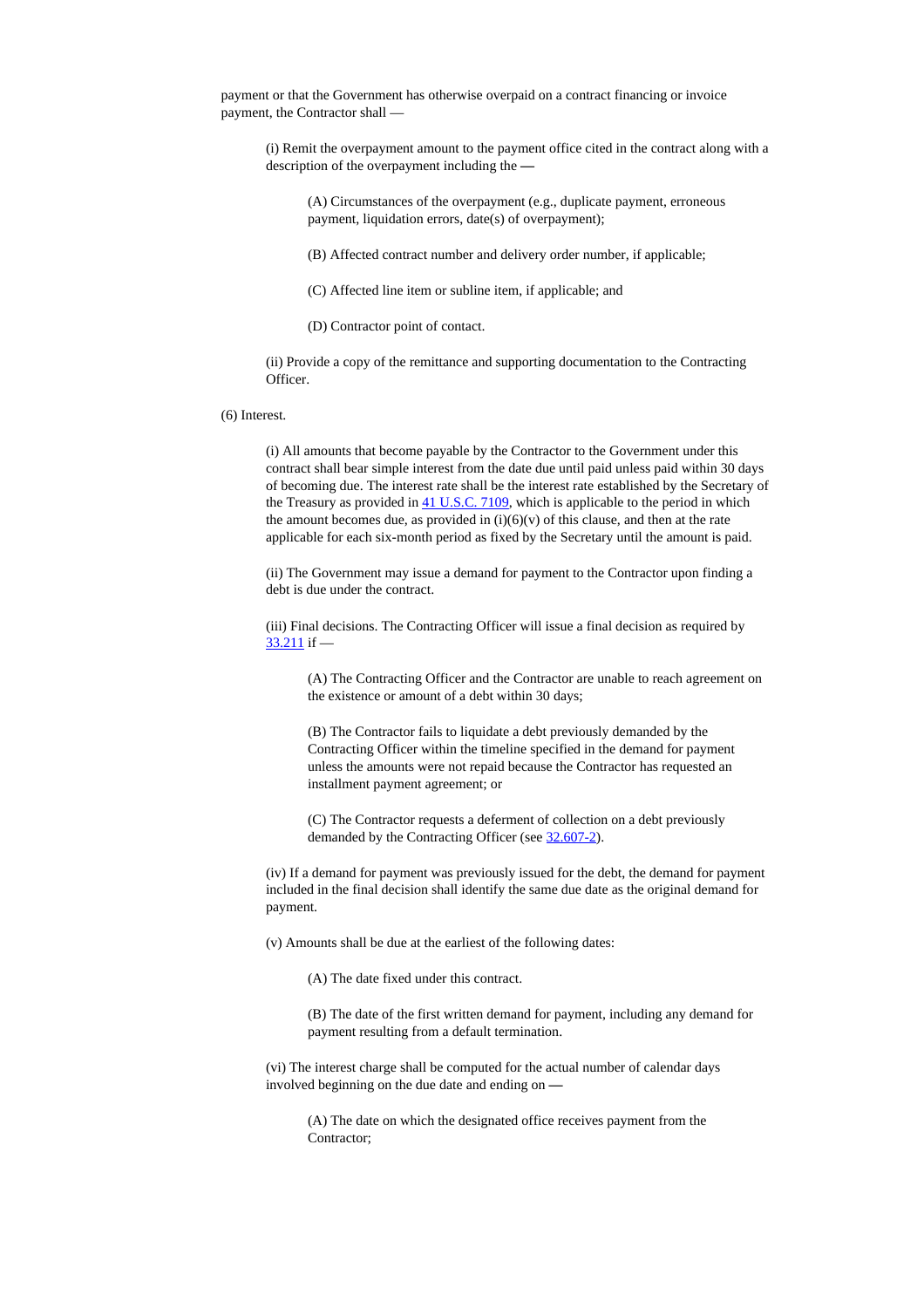payment or that the Government has otherwise overpaid on a contract financing or invoice payment, the Contractor shall —

(i) Remit the overpayment amount to the payment office cited in the contract along with a description of the overpayment including the **—**

(A) Circumstances of the overpayment (e.g., duplicate payment, erroneous payment, liquidation errors, date(s) of overpayment);

(B) Affected contract number and delivery order number, if applicable;

(C) Affected line item or subline item, if applicable; and

(D) Contractor point of contact.

(ii) Provide a copy of the remittance and supporting documentation to the Contracting Officer.

## (6) Interest.

(i) All amounts that become payable by the Contractor to the Government under this contract shall bear simple interest from the date due until paid unless paid within 30 days of becoming due. The interest rate shall be the interest rate established by the Secretary of the Treasury as provided in 41 [U.S.C.](http://uscode.house.gov/uscode-cgi/fastweb.exe?getdoc+uscview+t29t32+1665+30++%2831%29%20%20AND%20%28%2831%29%20ADJ%20USC%29%3ACITE%20%20%20%20%20%20%20%20%20) 7109, which is applicable to the period in which the amount becomes due, as provided in  $(i)(6)(v)$  of this clause, and then at the rate applicable for each six-month period as fixed by the Secretary until the amount is paid.

(ii) The Government may issue a demand for payment to the Contractor upon finding a debt is due under the contract.

(iii) Final decisions. The Contracting Officer will issue a final decision as required by [33.211](https://acquisition.gov/far/current/html/Subpart%2033_2.html#wp1079912) if —

(A) The Contracting Officer and the Contractor are unable to reach agreement on the existence or amount of a debt within 30 days;

(B) The Contractor fails to liquidate a debt previously demanded by the Contracting Officer within the timeline specified in the demand for payment unless the amounts were not repaid because the Contractor has requested an installment payment agreement; or

(C) The Contractor requests a deferment of collection on a debt previously demanded by the Contracting Officer (see [32.607-2\)](https://acquisition.gov/far/current/html/Subpart%2032_6.html#wp1031290).

(iv) If a demand for payment was previously issued for the debt, the demand for payment included in the final decision shall identify the same due date as the original demand for payment.

(v) Amounts shall be due at the earliest of the following dates:

(A) The date fixed under this contract.

(B) The date of the first written demand for payment, including any demand for payment resulting from a default termination.

(vi) The interest charge shall be computed for the actual number of calendar days involved beginning on the due date and ending on **—**

(A) The date on which the designated office receives payment from the Contractor: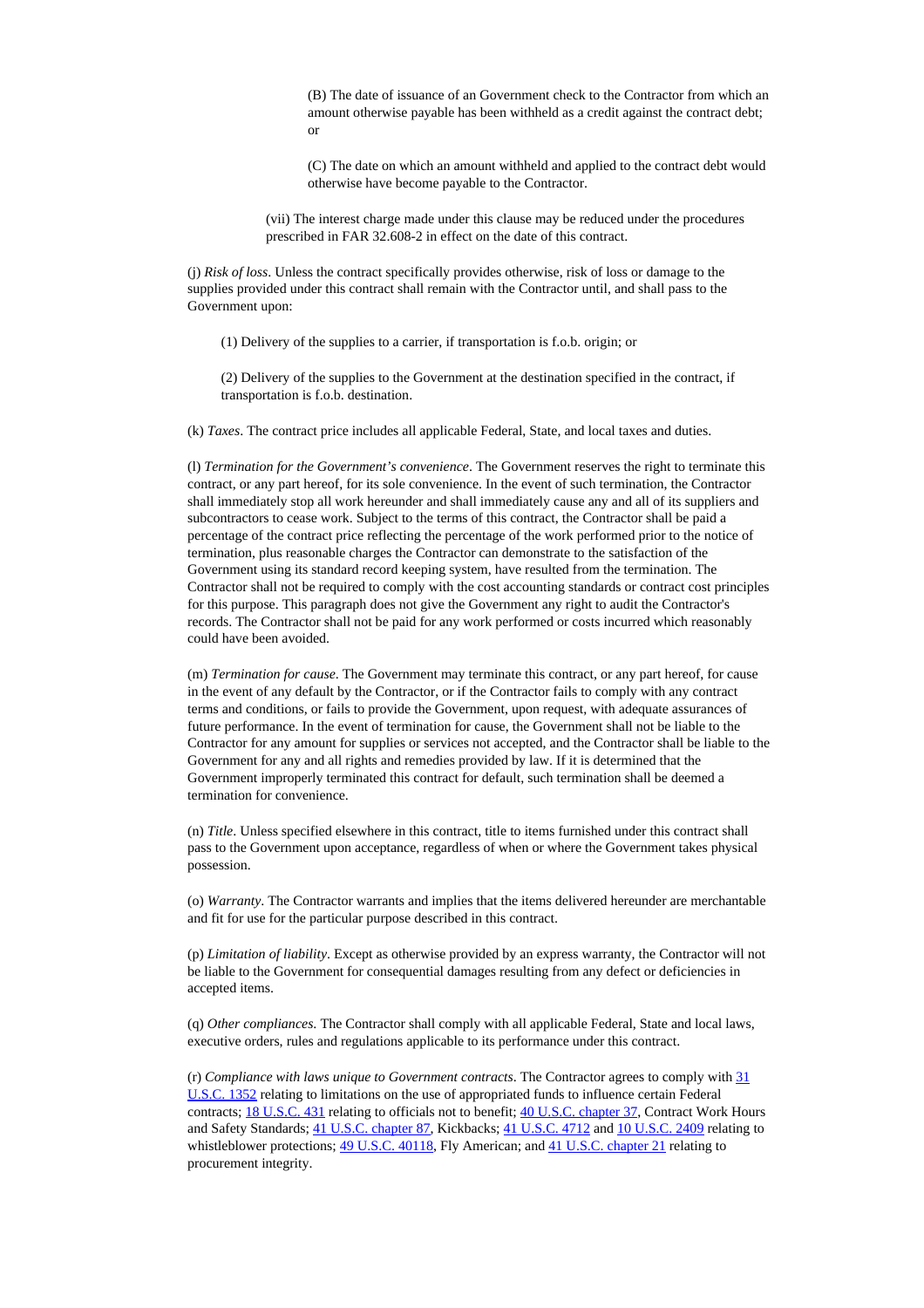(B) The date of issuance of an Government check to the Contractor from which an amount otherwise payable has been withheld as a credit against the contract debt; or

(C) The date on which an amount withheld and applied to the contract debt would otherwise have become payable to the Contractor.

(vii) The interest charge made under this clause may be reduced under the procedures prescribed in FAR 32.608-2 in effect on the date of this contract.

(j) *Risk of loss*. Unless the contract specifically provides otherwise, risk of loss or damage to the supplies provided under this contract shall remain with the Contractor until, and shall pass to the Government upon:

(1) Delivery of the supplies to a carrier, if transportation is f.o.b. origin; or

(2) Delivery of the supplies to the Government at the destination specified in the contract, if transportation is f.o.b. destination.

(k) *Taxes*. The contract price includes all applicable Federal, State, and local taxes and duties.

(l) *Termination for the Government's convenience*. The Government reserves the right to terminate this contract, or any part hereof, for its sole convenience. In the event of such termination, the Contractor shall immediately stop all work hereunder and shall immediately cause any and all of its suppliers and subcontractors to cease work. Subject to the terms of this contract, the Contractor shall be paid a percentage of the contract price reflecting the percentage of the work performed prior to the notice of termination, plus reasonable charges the Contractor can demonstrate to the satisfaction of the Government using its standard record keeping system, have resulted from the termination. The Contractor shall not be required to comply with the cost accounting standards or contract cost principles for this purpose. This paragraph does not give the Government any right to audit the Contractor's records. The Contractor shall not be paid for any work performed or costs incurred which reasonably could have been avoided.

(m) *Termination for cause*. The Government may terminate this contract, or any part hereof, for cause in the event of any default by the Contractor, or if the Contractor fails to comply with any contract terms and conditions, or fails to provide the Government, upon request, with adequate assurances of future performance. In the event of termination for cause, the Government shall not be liable to the Contractor for any amount for supplies or services not accepted, and the Contractor shall be liable to the Government for any and all rights and remedies provided by law. If it is determined that the Government improperly terminated this contract for default, such termination shall be deemed a termination for convenience.

(n) *Title*. Unless specified elsewhere in this contract, title to items furnished under this contract shall pass to the Government upon acceptance, regardless of when or where the Government takes physical possession.

(o) *Warranty*. The Contractor warrants and implies that the items delivered hereunder are merchantable and fit for use for the particular purpose described in this contract.

(p) *Limitation of liability*. Except as otherwise provided by an express warranty, the Contractor will not be liable to the Government for consequential damages resulting from any defect or deficiencies in accepted items.

(q) *Other compliances*. The Contractor shall comply with all applicable Federal, State and local laws, executive orders, rules and regulations applicable to its performance under this contract.

(r) *Compliance with laws unique to Government contracts*. The Contractor agrees to comply with [31](http://uscode.house.gov/uscode-cgi/fastweb.exe?getdoc+uscview+t29t32+1665+30++%2831%29%20%20AND%20%28%2831%29%20ADJ%20USC%29%3ACITE%20%20%20%20%20%20%20%20%20) [U.S.C.](http://uscode.house.gov/uscode-cgi/fastweb.exe?getdoc+uscview+t29t32+1665+30++%2831%29%20%20AND%20%28%2831%29%20ADJ%20USC%29%3ACITE%20%20%20%20%20%20%20%20%20) 1352 relating to limitations on the use of appropriated funds to influence certain Federal contracts; 18 [U.S.C.](http://uscode.house.gov/uscode-cgi/fastweb.exe?getdoc+uscview+t29t32+1665+30++%2831%29%20%20AND%20%28%2831%29%20ADJ%20USC%29%3ACITE%20%20%20%20%20%20%20%20%20) 431 relating to officials not to benefit; 40 U.S.C. [chapter](http://uscode.house.gov/uscode-cgi/fastweb.exe?getdoc+uscview+t29t32+1665+30++%2831%29%20%20AND%20%28%2831%29%20ADJ%20USC%29%3ACITE%20%20%20%20%20%20%20%20%20) 37, Contract Work Hours and Safety Standards; 41 U.S.C. [chapter](http://uscode.house.gov/uscode-cgi/fastweb.exe?getdoc+uscview+t29t32+1665+30++%2831%29%20%20AND%20%28%2831%29%20ADJ%20USC%29%3ACITE%20%20%20%20%20%20%20%20%20) 87, Kickbacks; 41 [U.S.C.](http://uscode.house.gov/uscode-cgi/fastweb.exe?getdoc+uscview+t29t32+1665+30++%2831%29%20%20AND%20%28%2831%29%20ADJ%20USC%29%3ACITE%20%20%20%20%20%20%20%20%20) 4712 and 10 U.S.C. 2409 relating to whistleblower protections; 49 [U.S.C.](http://uscode.house.gov/uscode-cgi/fastweb.exe?getdoc+uscview+t29t32+1665+30++%2831%29%20%20AND%20%28%2831%29%20ADJ%20USC%29%3ACITE%20%20%20%20%20%20%20%20%20) 40118, Fly American; and 41 U.S.C. [chapter](http://uscode.house.gov/uscode-cgi/fastweb.exe?getdoc+uscview+t29t32+1665+30++%2831%29%20%20AND%20%28%2831%29%20ADJ%20USC%29%3ACITE%20%20%20%20%20%20%20%20%20) 21 relating to procurement integrity.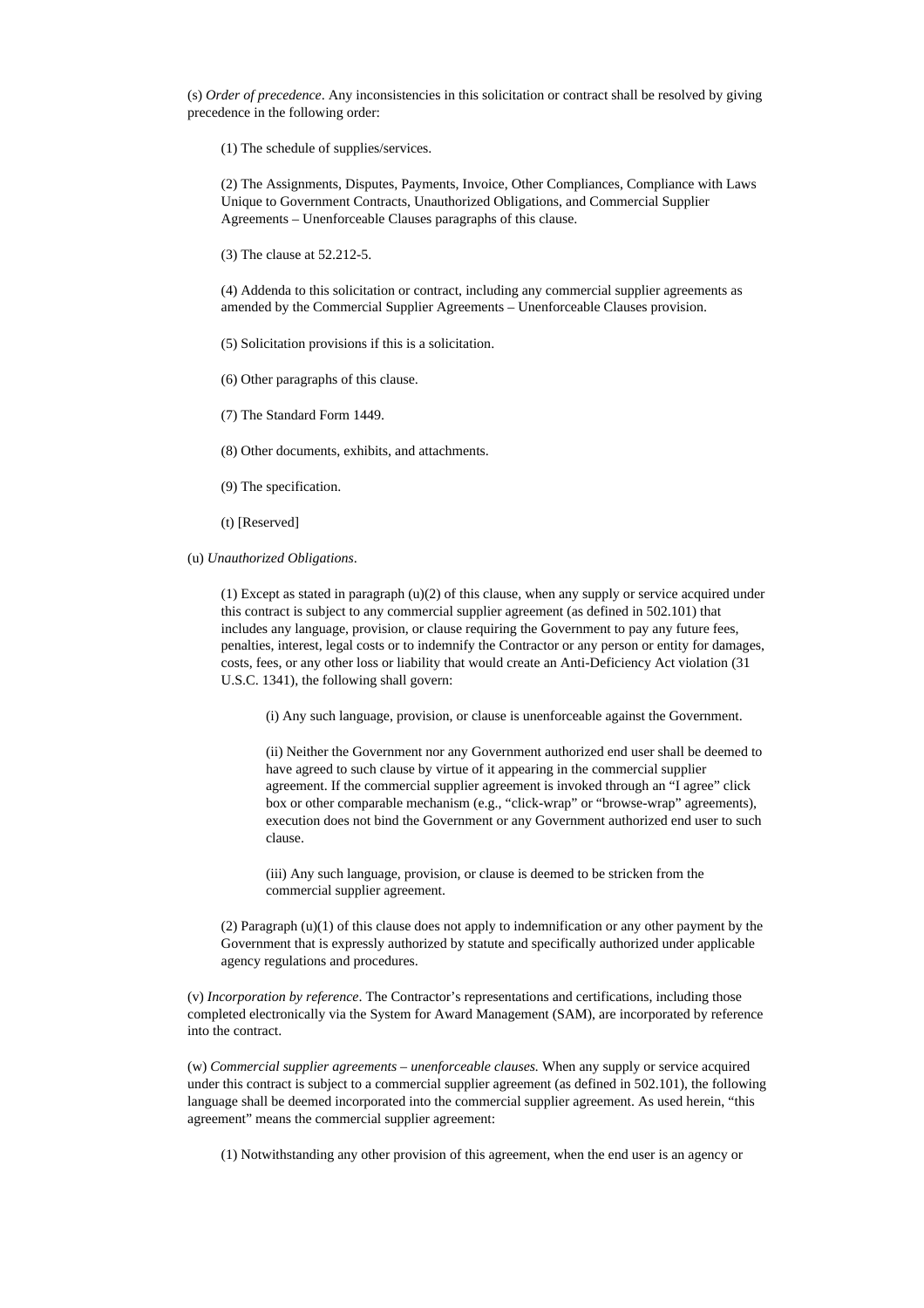(s) *Order of precedence*. Any inconsistencies in this solicitation or contract shall be resolved by giving precedence in the following order:

(1) The schedule of supplies/services.

(2) The Assignments, Disputes, Payments, Invoice, Other Compliances, Compliance with Laws Unique to Government Contracts, Unauthorized Obligations, and Commercial Supplier Agreements – Unenforceable Clauses paragraphs of this clause.

(3) The clause at 52.212-5.

(4) Addenda to this solicitation or contract, including any commercial supplier agreements as amended by the Commercial Supplier Agreements – Unenforceable Clauses provision.

(5) Solicitation provisions if this is a solicitation.

(6) Other paragraphs of this clause.

(7) The Standard Form 1449.

(8) Other documents, exhibits, and attachments.

(9) The specification.

(t) [Reserved]

(u) *Unauthorized Obligations*.

(1) Except as stated in paragraph  $(u)(2)$  of this clause, when any supply or service acquired under this contract is subject to any commercial supplier agreement (as defined in 502.101) that includes any language, provision, or clause requiring the Government to pay any future fees, penalties, interest, legal costs or to indemnify the Contractor or any person or entity for damages, costs, fees, or any other loss or liability that would create an Anti-Deficiency Act violation (31 U.S.C. 1341), the following shall govern:

(i) Any such language, provision, or clause is unenforceable against the Government.

(ii) Neither the Government nor any Government authorized end user shall be deemed to have agreed to such clause by virtue of it appearing in the commercial supplier agreement. If the commercial supplier agreement is invoked through an "I agree" click box or other comparable mechanism (e.g., "click-wrap" or "browse-wrap" agreements), execution does not bind the Government or any Government authorized end user to such clause.

(iii) Any such language, provision, or clause is deemed to be stricken from the commercial supplier agreement.

(2) Paragraph (u)(1) of this clause does not apply to indemnification or any other payment by the Government that is expressly authorized by statute and specifically authorized under applicable agency regulations and procedures.

(v) *Incorporation by reference*. The Contractor's representations and certifications, including those completed electronically via the System for Award Management (SAM), are incorporated by reference into the contract.

(w) *Commercial supplier agreements – unenforceable clauses.* When any supply or service acquired under this contract is subject to a commercial supplier agreement (as defined in 502.101), the following language shall be deemed incorporated into the commercial supplier agreement. As used herein, "this agreement" means the commercial supplier agreement:

(1) Notwithstanding any other provision of this agreement, when the end user is an agency or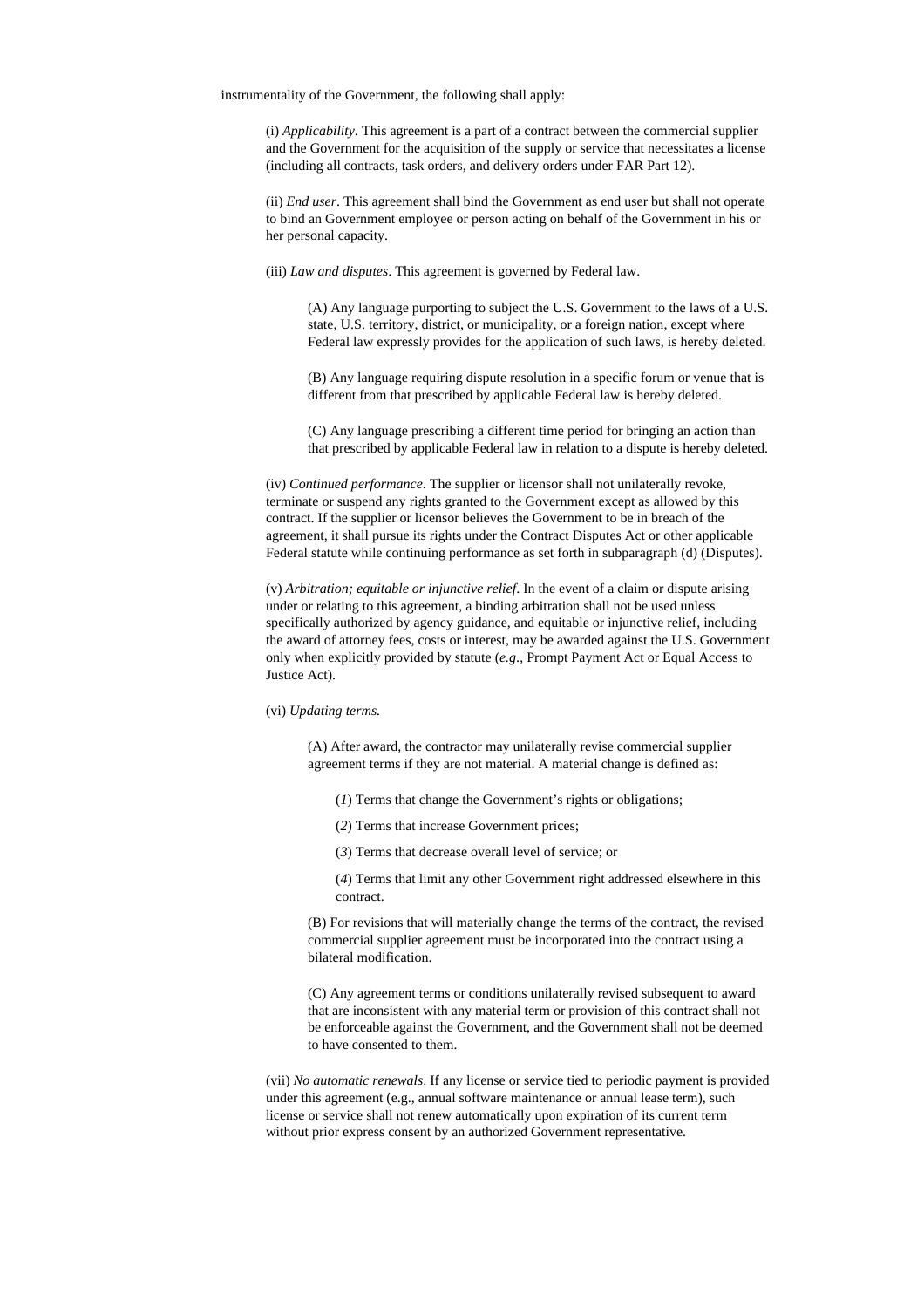instrumentality of the Government, the following shall apply:

(i) *Applicability*. This agreement is a part of a contract between the commercial supplier and the Government for the acquisition of the supply or service that necessitates a license (including all contracts, task orders, and delivery orders under FAR Part 12).

(ii) *End user*. This agreement shall bind the Government as end user but shall not operate to bind an Government employee or person acting on behalf of the Government in his or her personal capacity.

(iii) *Law and disputes*. This agreement is governed by Federal law.

(A) Any language purporting to subject the U.S. Government to the laws of a U.S. state, U.S. territory, district, or municipality, or a foreign nation, except where Federal law expressly provides for the application of such laws, is hereby deleted.

(B) Any language requiring dispute resolution in a specific forum or venue that is different from that prescribed by applicable Federal law is hereby deleted.

(C) Any language prescribing a different time period for bringing an action than that prescribed by applicable Federal law in relation to a dispute is hereby deleted.

(iv) *Continued performance*. The supplier or licensor shall not unilaterally revoke, terminate or suspend any rights granted to the Government except as allowed by this contract. If the supplier or licensor believes the Government to be in breach of the agreement, it shall pursue its rights under the Contract Disputes Act or other applicable Federal statute while continuing performance as set forth in subparagraph (d) (Disputes).

(v) *Arbitration; equitable or injunctive relief*. In the event of a claim or dispute arising under or relating to this agreement, a binding arbitration shall not be used unless specifically authorized by agency guidance, and equitable or injunctive relief, including the award of attorney fees, costs or interest, may be awarded against the U.S. Government only when explicitly provided by statute (*e.g*., Prompt Payment Act or Equal Access to Justice Act).

## (vi) *Updating terms.*

(A) After award, the contractor may unilaterally revise commercial supplier agreement terms if they are not material. A material change is defined as:

(*1*) Terms that change the Government's rights or obligations;

- (*2*) Terms that increase Government prices;
- (*3*) Terms that decrease overall level of service; or

(*4*) Terms that limit any other Government right addressed elsewhere in this contract.

(B) For revisions that will materially change the terms of the contract, the revised commercial supplier agreement must be incorporated into the contract using a bilateral modification.

(C) Any agreement terms or conditions unilaterally revised subsequent to award that are inconsistent with any material term or provision of this contract shall not be enforceable against the Government, and the Government shall not be deemed to have consented to them.

(vii) *No automatic renewals*. If any license or service tied to periodic payment is provided under this agreement (e.g., annual software maintenance or annual lease term), such license or service shall not renew automatically upon expiration of its current term without prior express consent by an authorized Government representative.